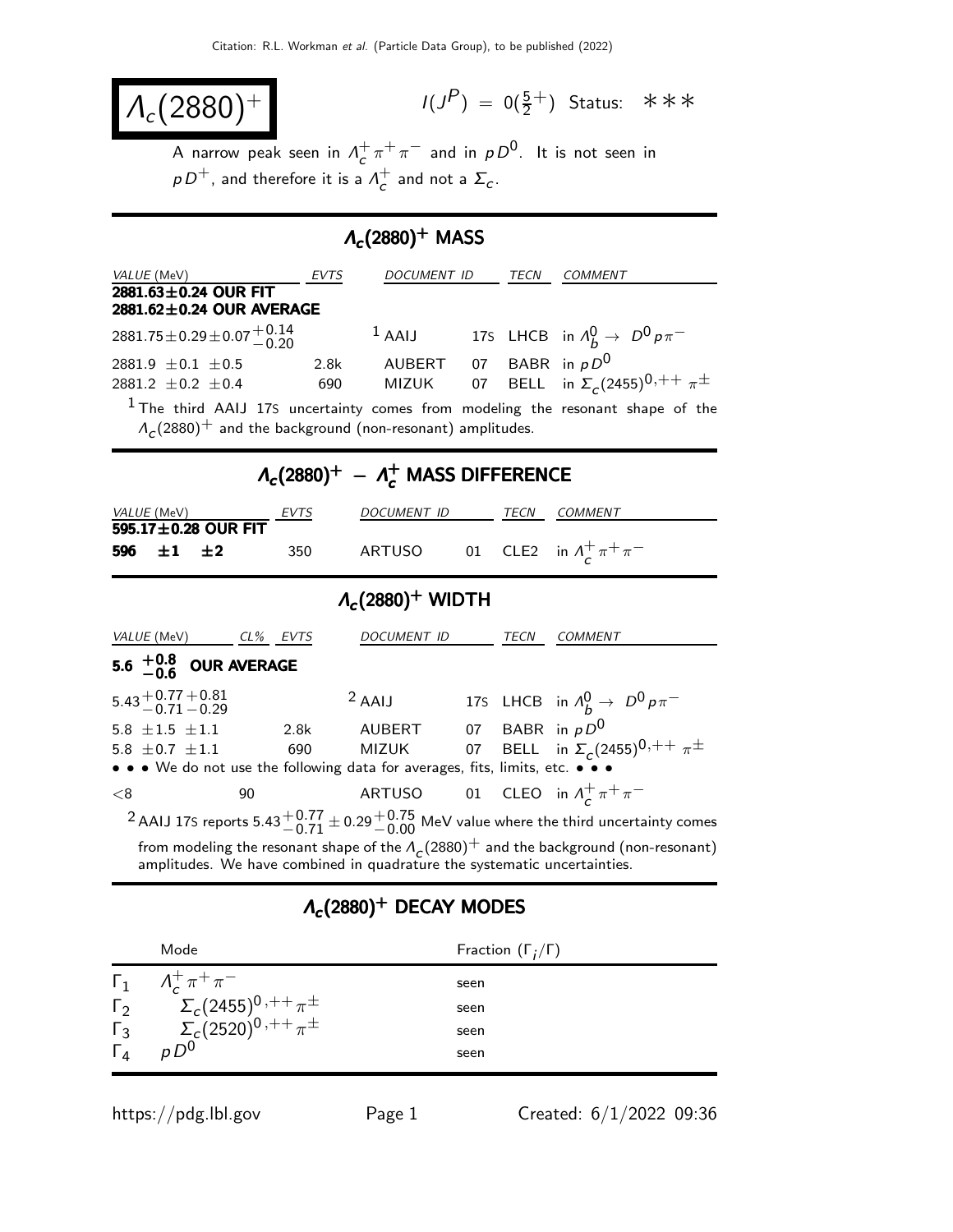$$
\overline{\Lambda_c(2880)^+}
$$

 $(P) = 0(\frac{5}{2}^+)$  Status: \*\*\*

A narrow peak seen in  $\Lambda_c^+$  $\frac{1}{c} \pi^+ \pi^-$  and in  $\rho D^0$ . It is not seen in  $\rho\,D^+$ , and therefore it is a  $\varLambda^+_\sigma$  $\sigma_c^+$  and not a  $\Sigma_c$ .

## $\mathcal{M}_c(2880)^+$  MASS

| VALUE (MeV)                                                                                                                                            | <b>EVTS</b> | DOCUMENT ID            |  | TECN              | <b>COMMENT</b>                                                                                                              |  |  |  |  |  |  |  |
|--------------------------------------------------------------------------------------------------------------------------------------------------------|-------------|------------------------|--|-------------------|-----------------------------------------------------------------------------------------------------------------------------|--|--|--|--|--|--|--|
| $2881.63 \pm 0.24$ OUR FIT<br>2881.62±0.24 OUR AVERAGE                                                                                                 |             |                        |  |                   |                                                                                                                             |  |  |  |  |  |  |  |
| $2881.75 \pm 0.29 \pm 0.07 \frac{+0.14}{-0.20}$                                                                                                        |             | $1$ AAIJ               |  |                   | 175 LHCB in $\Lambda_h^0 \rightarrow D^0 p \pi^-$                                                                           |  |  |  |  |  |  |  |
| 2881.9 $\pm$ 0.1 $\pm$ 0.5<br>2881.2 $\pm$ 0.2 $\pm$ 0.4                                                                                               | 2.8k<br>690 | AUBERT<br>MIZUK        |  |                   | 07 BABR in $pD^0$<br>07 BELL in $\Sigma_c (2455)^{0,++} \pi^{\pm}$                                                          |  |  |  |  |  |  |  |
| $^{\rm 1}$ The third AAIJ 17S uncertainty comes from modeling the resonant shape of the<br>$A_c(2880)^+$ and the background (non-resonant) amplitudes. |             |                        |  |                   |                                                                                                                             |  |  |  |  |  |  |  |
| $\Lambda_c(2880)^+ - \Lambda_c^+$ MASS DIFFERENCE                                                                                                      |             |                        |  |                   |                                                                                                                             |  |  |  |  |  |  |  |
| VALUE (MeV)                                                                                                                                            |             | DOCUMENT ID            |  | TECN              | COMMENT                                                                                                                     |  |  |  |  |  |  |  |
| 595.17±0.28 OUR FIT<br>$\pm 1$<br>596<br>±2                                                                                                            | 350         | <b>ARTUSO</b>          |  |                   | 01 CLE2 in $\Lambda^+_{\rm c} \pi^+ \pi^-$                                                                                  |  |  |  |  |  |  |  |
| $\Lambda_c(2880)^+$ WIDTH                                                                                                                              |             |                        |  |                   |                                                                                                                             |  |  |  |  |  |  |  |
| VALUE (MeV) CL% EVTS                                                                                                                                   |             | <b>DOCUMENT ID</b>     |  | TECN              | <b>COMMENT</b>                                                                                                              |  |  |  |  |  |  |  |
|                                                                                                                                                        |             |                        |  |                   |                                                                                                                             |  |  |  |  |  |  |  |
| 5.6 $^{+0.8}_{-0.6}$ OUR AVERAGE                                                                                                                       |             |                        |  |                   |                                                                                                                             |  |  |  |  |  |  |  |
| $5.43 + 0.77 + 0.81$<br>0.71 - 0.29                                                                                                                    |             | $2$ AAIJ               |  |                   | 175 LHCB in $\Lambda_h^0 \rightarrow D^0 p \pi^-$                                                                           |  |  |  |  |  |  |  |
| 5.8 $\pm 1.5$ $\pm 1.1$<br>5.8 $\pm$ 0.7 $\pm$ 1.1<br>• We do not use the following data for averages, fits, limits, etc. •                            | 2.8k<br>690 | AUBERT<br><b>MIZUK</b> |  | 07 BABR in $pD^0$ | 07 BELL in $\Sigma_c (2455)^{0,++} \pi^{\pm}$                                                                               |  |  |  |  |  |  |  |
| < 8<br>90                                                                                                                                              |             | ARTUSO                 |  |                   | 01 CLEO in $\Lambda_c^+ \pi^+ \pi^-$                                                                                        |  |  |  |  |  |  |  |
|                                                                                                                                                        |             |                        |  |                   | <sup>2</sup> AAIJ 17S reports 5.43 $^{+0.77}_{-0.71}$ ± 0.29 $^{+0.75}_{-0.00}$ MeV value where the third uncertainty comes |  |  |  |  |  |  |  |

## $\Lambda_c(2880)^+$  DECAY MODES

|              | Mode                                                                 | Fraction $(\Gamma_i/\Gamma)$ |
|--------------|----------------------------------------------------------------------|------------------------------|
|              | $\Gamma_1$ $A_c^+ \pi^+ \pi^-$                                       | seen                         |
| $\Gamma_{2}$ |                                                                      | seen                         |
| $\Gamma_3$   | $\Sigma_c(2455)^{0\,,++}\pi^{\pm}\ \Sigma_c(2520)^{0\,,++}\pi^{\pm}$ | seen                         |
|              | $pD^0$                                                               | seen                         |

https://pdg.lbl.gov Page 1 Created:  $6/1/2022$  09:36